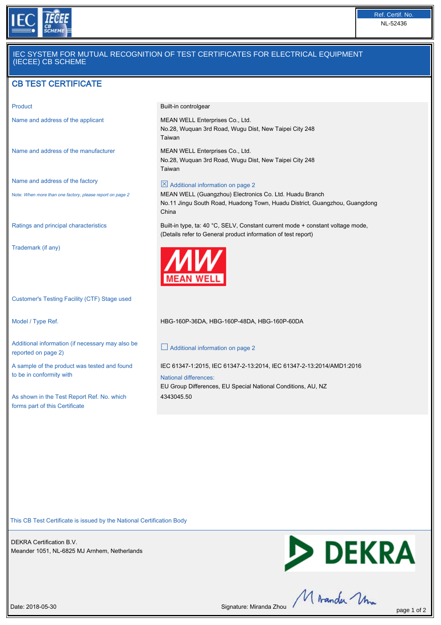

# IEC SYSTEM FOR MUTUAL RECOGNITION OF TEST CERTIFICATES FOR ELECTRICAL EQUIPMENT (IECEE) CB SCHEME

# CB TEST CERTIFICATE

Name and address of the manufacturer MEAN WELL Enterprises Co., Ltd.

Name and address of the factory

Note: When more than one factory, please report on page 2

Trademark (if any)

Customer's Testing Facility (CTF) Stage used

Additional information (if necessary may also be reported on page 2)

A sample of the product was tested and found to be in conformity with

As shown in the Test Report Ref. No. which forms part of this Certificate

Product **Built-in controlgear** 

Name and address of the applicant MEAN WELL Enterprises Co., Ltd. No.28, Wuquan 3rd Road, Wugu Dist, New Taipei City 248 Taiwan

> No.28, Wuquan 3rd Road, Wugu Dist, New Taipei City 248 Taiwan

### $\boxtimes$  Additional information on page 2

MEAN WELL (Guangzhou) Electronics Co. Ltd. Huadu Branch No.11 Jingu South Road, Huadong Town, Huadu District, Guangzhou, Guangdong China

Ratings and principal characteristics Built-in type, ta: 40 °C, SELV, Constant current mode + constant voltage mode, (Details refer to General product information of test report)



Model / Type Ref. HBG-160P-36DA, HBG-160P-48DA, HBG-160P-60DA

#### $\Box$  Additional information on page 2

IEC 61347-1:2015, IEC 61347-2-13:2014, IEC 61347-2-13:2014/AMD1:2016

#### National differences:

EU Group Differences, EU Special National Conditions, AU, NZ 4343045.50

This CB Test Certificate is issued by the National Certification Body

DEKRA Certification B.V. Meander 1051, NL-6825 MJ Arnhem, Netherlands